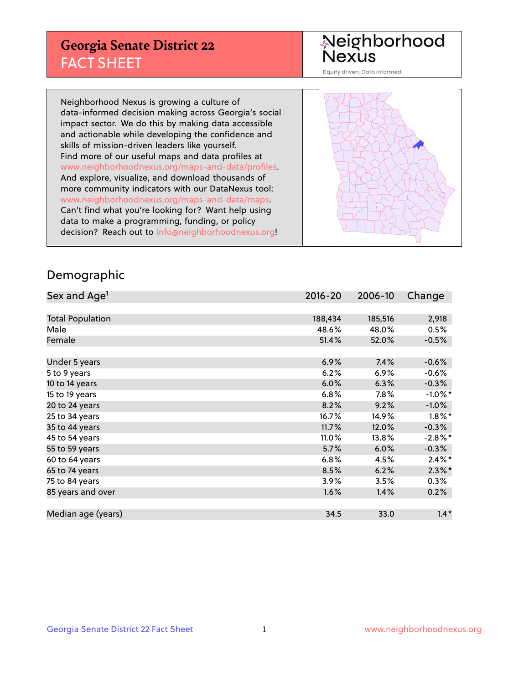#### **Georgia Senate District 22** FACT SHEET

# Neighborhood<br>Nexus

Equity driven. Data informed.

Neighborhood Nexus is growing a culture of data-informed decision making across Georgia's social impact sector. We do this by making data accessible and actionable while developing the confidence and skills of mission-driven leaders like yourself. Find more of our useful maps and data profiles at www.neighborhoodnexus.org/maps-and-data/profiles. And explore, visualize, and download thousands of more community indicators with our DataNexus tool: www.neighborhoodnexus.org/maps-and-data/maps. Can't find what you're looking for? Want help using data to make a programming, funding, or policy decision? Reach out to [info@neighborhoodnexus.org!](mailto:info@neighborhoodnexus.org)



#### Demographic

| Sex and Age <sup>1</sup> | $2016 - 20$ | 2006-10 | Change     |
|--------------------------|-------------|---------|------------|
|                          |             |         |            |
| <b>Total Population</b>  | 188,434     | 185,516 | 2,918      |
| Male                     | 48.6%       | 48.0%   | 0.5%       |
| Female                   | 51.4%       | 52.0%   | $-0.5%$    |
|                          |             |         |            |
| Under 5 years            | 6.9%        | 7.4%    | $-0.6%$    |
| 5 to 9 years             | 6.2%        | 6.9%    | $-0.6%$    |
| 10 to 14 years           | 6.0%        | 6.3%    | $-0.3%$    |
| 15 to 19 years           | 6.8%        | 7.8%    | $-1.0\%$ * |
| 20 to 24 years           | 8.2%        | 9.2%    | $-1.0%$    |
| 25 to 34 years           | 16.7%       | 14.9%   | $1.8\%$ *  |
| 35 to 44 years           | 11.7%       | 12.0%   | $-0.3%$    |
| 45 to 54 years           | 11.0%       | 13.8%   | $-2.8\%$ * |
| 55 to 59 years           | 5.7%        | 6.0%    | $-0.3%$    |
| 60 to 64 years           | 6.8%        | 4.5%    | $2.4\%$ *  |
| 65 to 74 years           | 8.5%        | 6.2%    | $2.3\%$ *  |
| 75 to 84 years           | 3.9%        | 3.5%    | $0.3\%$    |
| 85 years and over        | 1.6%        | 1.4%    | 0.2%       |
|                          |             |         |            |
| Median age (years)       | 34.5        | 33.0    | $1.4*$     |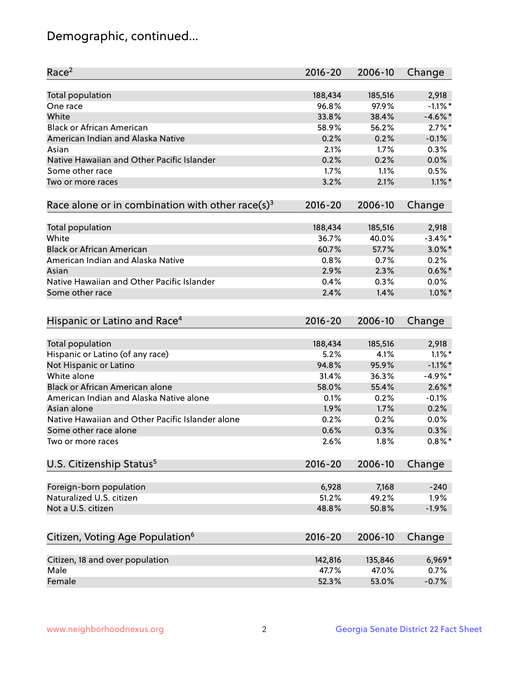# Demographic, continued...

| Race <sup>2</sup>                                            | $2016 - 20$ | 2006-10 | Change     |
|--------------------------------------------------------------|-------------|---------|------------|
| <b>Total population</b>                                      | 188,434     | 185,516 | 2,918      |
| One race                                                     | 96.8%       | 97.9%   | $-1.1\%$ * |
| White                                                        | 33.8%       | 38.4%   | $-4.6\%$ * |
| <b>Black or African American</b>                             | 58.9%       | 56.2%   | $2.7\%$ *  |
| American Indian and Alaska Native                            | 0.2%        | 0.2%    | $-0.1%$    |
| Asian                                                        | 2.1%        | 1.7%    | 0.3%       |
| Native Hawaiian and Other Pacific Islander                   | 0.2%        | 0.2%    | 0.0%       |
| Some other race                                              | 1.7%        | 1.1%    | 0.5%       |
| Two or more races                                            | 3.2%        | 2.1%    | $1.1\%$ *  |
| Race alone or in combination with other race(s) <sup>3</sup> | $2016 - 20$ | 2006-10 | Change     |
|                                                              |             |         |            |
| Total population                                             | 188,434     | 185,516 | 2,918      |
| White                                                        | 36.7%       | 40.0%   | $-3.4\%$ * |
| <b>Black or African American</b>                             | 60.7%       | 57.7%   | $3.0\%$ *  |
| American Indian and Alaska Native                            | 0.8%        | 0.7%    | 0.2%       |
| Asian                                                        | 2.9%        | 2.3%    | $0.6\%$ *  |
| Native Hawaiian and Other Pacific Islander                   | 0.4%        | 0.3%    | $0.0\%$    |
| Some other race                                              | 2.4%        | 1.4%    | $1.0\%$ *  |
| Hispanic or Latino and Race <sup>4</sup>                     | $2016 - 20$ | 2006-10 | Change     |
| Total population                                             | 188,434     | 185,516 | 2,918      |
| Hispanic or Latino (of any race)                             | 5.2%        | 4.1%    | $1.1\%$ *  |
| Not Hispanic or Latino                                       | 94.8%       | 95.9%   | $-1.1\%$ * |
| White alone                                                  | 31.4%       | 36.3%   | $-4.9%$ *  |
| Black or African American alone                              | 58.0%       | 55.4%   | $2.6\%$ *  |
| American Indian and Alaska Native alone                      | 0.1%        | 0.2%    | $-0.1%$    |
| Asian alone                                                  | 1.9%        | 1.7%    | 0.2%       |
| Native Hawaiian and Other Pacific Islander alone             | 0.2%        | 0.2%    | 0.0%       |
| Some other race alone                                        | 0.6%        | 0.3%    | 0.3%       |
| Two or more races                                            | 2.6%        | 1.8%    | $0.8\%$ *  |
| U.S. Citizenship Status <sup>5</sup>                         | $2016 - 20$ | 2006-10 | Change     |
|                                                              |             |         |            |
| Foreign-born population                                      | 6,928       | 7,168   | $-240$     |
| Naturalized U.S. citizen                                     | 51.2%       | 49.2%   | 1.9%       |
| Not a U.S. citizen                                           | 48.8%       | 50.8%   | $-1.9%$    |
| Citizen, Voting Age Population <sup>6</sup>                  | 2016-20     | 2006-10 | Change     |
|                                                              |             |         |            |
| Citizen, 18 and over population                              | 142,816     | 135,846 | 6,969*     |
| Male                                                         | 47.7%       | 47.0%   | 0.7%       |
| Female                                                       | 52.3%       | 53.0%   | $-0.7%$    |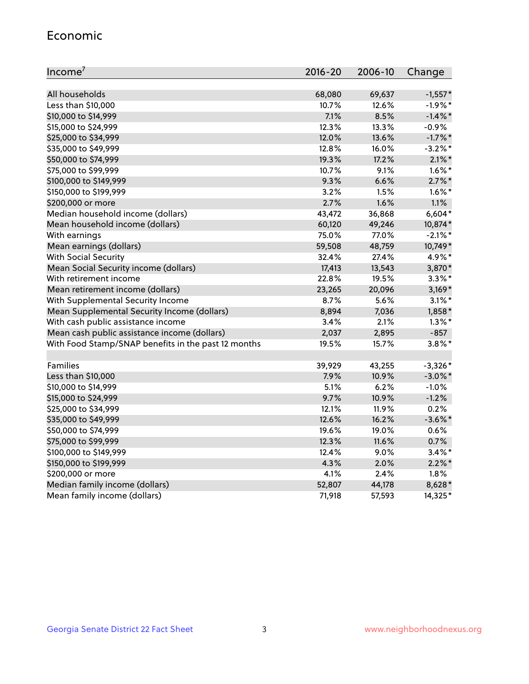#### Economic

| Income <sup>7</sup>                                 | $2016 - 20$ | 2006-10 | Change     |
|-----------------------------------------------------|-------------|---------|------------|
|                                                     |             |         |            |
| All households                                      | 68,080      | 69,637  | $-1,557*$  |
| Less than \$10,000                                  | 10.7%       | 12.6%   | $-1.9%$ *  |
| \$10,000 to \$14,999                                | 7.1%        | 8.5%    | $-1.4\%$ * |
| \$15,000 to \$24,999                                | 12.3%       | 13.3%   | $-0.9%$    |
| \$25,000 to \$34,999                                | 12.0%       | 13.6%   | $-1.7\%$ * |
| \$35,000 to \$49,999                                | 12.8%       | 16.0%   | $-3.2\%$ * |
| \$50,000 to \$74,999                                | 19.3%       | 17.2%   | $2.1\%$ *  |
| \$75,000 to \$99,999                                | 10.7%       | 9.1%    | $1.6\%$ *  |
| \$100,000 to \$149,999                              | 9.3%        | 6.6%    | $2.7\%$ *  |
| \$150,000 to \$199,999                              | 3.2%        | 1.5%    | $1.6\%$ *  |
| \$200,000 or more                                   | 2.7%        | 1.6%    | 1.1%       |
| Median household income (dollars)                   | 43,472      | 36,868  | $6,604*$   |
| Mean household income (dollars)                     | 60,120      | 49,246  | 10,874*    |
| With earnings                                       | 75.0%       | 77.0%   | $-2.1\%$ * |
| Mean earnings (dollars)                             | 59,508      | 48,759  | 10,749*    |
| <b>With Social Security</b>                         | 32.4%       | 27.4%   | 4.9%*      |
| Mean Social Security income (dollars)               | 17,413      | 13,543  | 3,870*     |
| With retirement income                              | 22.8%       | 19.5%   | $3.3\%$ *  |
| Mean retirement income (dollars)                    | 23,265      | 20,096  | $3,169*$   |
| With Supplemental Security Income                   | $8.7\%$     | 5.6%    | $3.1\%$ *  |
| Mean Supplemental Security Income (dollars)         | 8,894       | 7,036   | 1,858*     |
| With cash public assistance income                  | 3.4%        | 2.1%    | $1.3\%$ *  |
| Mean cash public assistance income (dollars)        | 2,037       | 2,895   | $-857$     |
| With Food Stamp/SNAP benefits in the past 12 months | 19.5%       | 15.7%   | $3.8\%$ *  |
|                                                     |             |         |            |
| Families                                            | 39,929      | 43,255  | $-3,326*$  |
| Less than \$10,000                                  | 7.9%        | 10.9%   | $-3.0\%$ * |
| \$10,000 to \$14,999                                | 5.1%        | 6.2%    | $-1.0%$    |
| \$15,000 to \$24,999                                | 9.7%        | 10.9%   | $-1.2%$    |
| \$25,000 to \$34,999                                | 12.1%       | 11.9%   | 0.2%       |
| \$35,000 to \$49,999                                | 12.6%       | 16.2%   | $-3.6\%$ * |
| \$50,000 to \$74,999                                | 19.6%       | 19.0%   | 0.6%       |
| \$75,000 to \$99,999                                | 12.3%       | 11.6%   | 0.7%       |
| \$100,000 to \$149,999                              | 12.4%       | 9.0%    | $3.4\%$ *  |
| \$150,000 to \$199,999                              | 4.3%        | 2.0%    | $2.2\%$ *  |
| \$200,000 or more                                   | 4.1%        | 2.4%    | 1.8%       |
| Median family income (dollars)                      | 52,807      | 44,178  | 8,628*     |
| Mean family income (dollars)                        | 71,918      | 57,593  | 14,325*    |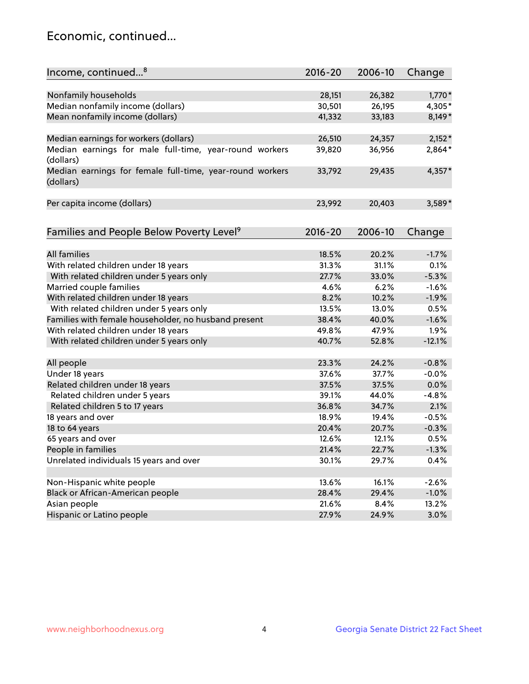#### Economic, continued...

| Nonfamily households<br>28,151<br>26,382<br>$1,770*$<br>Median nonfamily income (dollars)<br>30,501<br>26,195<br>4,305*<br>Mean nonfamily income (dollars)<br>41,332<br>33,183<br>8,149*<br>26,510<br>$2,152*$<br>Median earnings for workers (dollars)<br>24,357<br>Median earnings for male full-time, year-round workers<br>2,864*<br>39,820<br>36,956<br>(dollars)<br>Median earnings for female full-time, year-round workers<br>$4,357*$<br>29,435<br>33,792<br>(dollars)<br>Per capita income (dollars)<br>23,992<br>20,403<br>3,589*<br>Families and People Below Poverty Level <sup>9</sup><br>$2016 - 20$<br>2006-10<br>Change | Income, continued <sup>8</sup> | $2016 - 20$ | 2006-10 | Change |
|------------------------------------------------------------------------------------------------------------------------------------------------------------------------------------------------------------------------------------------------------------------------------------------------------------------------------------------------------------------------------------------------------------------------------------------------------------------------------------------------------------------------------------------------------------------------------------------------------------------------------------------|--------------------------------|-------------|---------|--------|
|                                                                                                                                                                                                                                                                                                                                                                                                                                                                                                                                                                                                                                          |                                |             |         |        |
|                                                                                                                                                                                                                                                                                                                                                                                                                                                                                                                                                                                                                                          |                                |             |         |        |
|                                                                                                                                                                                                                                                                                                                                                                                                                                                                                                                                                                                                                                          |                                |             |         |        |
|                                                                                                                                                                                                                                                                                                                                                                                                                                                                                                                                                                                                                                          |                                |             |         |        |
|                                                                                                                                                                                                                                                                                                                                                                                                                                                                                                                                                                                                                                          |                                |             |         |        |
|                                                                                                                                                                                                                                                                                                                                                                                                                                                                                                                                                                                                                                          |                                |             |         |        |
|                                                                                                                                                                                                                                                                                                                                                                                                                                                                                                                                                                                                                                          |                                |             |         |        |
|                                                                                                                                                                                                                                                                                                                                                                                                                                                                                                                                                                                                                                          |                                |             |         |        |
|                                                                                                                                                                                                                                                                                                                                                                                                                                                                                                                                                                                                                                          |                                |             |         |        |
|                                                                                                                                                                                                                                                                                                                                                                                                                                                                                                                                                                                                                                          |                                |             |         |        |
|                                                                                                                                                                                                                                                                                                                                                                                                                                                                                                                                                                                                                                          |                                |             |         |        |
|                                                                                                                                                                                                                                                                                                                                                                                                                                                                                                                                                                                                                                          |                                |             |         |        |
|                                                                                                                                                                                                                                                                                                                                                                                                                                                                                                                                                                                                                                          |                                |             |         |        |
|                                                                                                                                                                                                                                                                                                                                                                                                                                                                                                                                                                                                                                          |                                |             |         |        |
|                                                                                                                                                                                                                                                                                                                                                                                                                                                                                                                                                                                                                                          |                                |             |         |        |
| <b>All families</b><br>18.5%<br>20.2%<br>$-1.7%$                                                                                                                                                                                                                                                                                                                                                                                                                                                                                                                                                                                         |                                |             |         |        |
| With related children under 18 years<br>31.3%<br>31.1%<br>0.1%                                                                                                                                                                                                                                                                                                                                                                                                                                                                                                                                                                           |                                |             |         |        |
| $-5.3%$<br>27.7%<br>33.0%                                                                                                                                                                                                                                                                                                                                                                                                                                                                                                                                                                                                                |                                |             |         |        |
| With related children under 5 years only<br>$-1.6%$<br>4.6%<br>6.2%                                                                                                                                                                                                                                                                                                                                                                                                                                                                                                                                                                      |                                |             |         |        |
| Married couple families<br>With related children under 18 years<br>10.2%<br>8.2%<br>$-1.9%$                                                                                                                                                                                                                                                                                                                                                                                                                                                                                                                                              |                                |             |         |        |
| With related children under 5 years only<br>13.5%<br>13.0%<br>0.5%                                                                                                                                                                                                                                                                                                                                                                                                                                                                                                                                                                       |                                |             |         |        |
| Families with female householder, no husband present<br>38.4%<br>40.0%<br>$-1.6%$                                                                                                                                                                                                                                                                                                                                                                                                                                                                                                                                                        |                                |             |         |        |
| 49.8%<br>47.9%<br>1.9%                                                                                                                                                                                                                                                                                                                                                                                                                                                                                                                                                                                                                   |                                |             |         |        |
| With related children under 18 years<br>$-12.1%$                                                                                                                                                                                                                                                                                                                                                                                                                                                                                                                                                                                         |                                |             |         |        |
| With related children under 5 years only<br>40.7%<br>52.8%                                                                                                                                                                                                                                                                                                                                                                                                                                                                                                                                                                               |                                |             |         |        |
| All people<br>23.3%<br>24.2%<br>$-0.8%$                                                                                                                                                                                                                                                                                                                                                                                                                                                                                                                                                                                                  |                                |             |         |        |
| Under 18 years<br>37.7%<br>$-0.0%$<br>37.6%                                                                                                                                                                                                                                                                                                                                                                                                                                                                                                                                                                                              |                                |             |         |        |
| Related children under 18 years<br>37.5%<br>37.5%<br>0.0%                                                                                                                                                                                                                                                                                                                                                                                                                                                                                                                                                                                |                                |             |         |        |
| Related children under 5 years<br>39.1%<br>44.0%<br>$-4.8%$                                                                                                                                                                                                                                                                                                                                                                                                                                                                                                                                                                              |                                |             |         |        |
| Related children 5 to 17 years<br>36.8%<br>2.1%<br>34.7%                                                                                                                                                                                                                                                                                                                                                                                                                                                                                                                                                                                 |                                |             |         |        |
| 18 years and over<br>18.9%<br>19.4%<br>$-0.5%$                                                                                                                                                                                                                                                                                                                                                                                                                                                                                                                                                                                           |                                |             |         |        |
| 18 to 64 years<br>20.4%<br>$-0.3%$<br>20.7%                                                                                                                                                                                                                                                                                                                                                                                                                                                                                                                                                                                              |                                |             |         |        |
| 65 years and over<br>12.6%<br>12.1%<br>0.5%                                                                                                                                                                                                                                                                                                                                                                                                                                                                                                                                                                                              |                                |             |         |        |
| People in families<br>22.7%<br>21.4%<br>$-1.3%$                                                                                                                                                                                                                                                                                                                                                                                                                                                                                                                                                                                          |                                |             |         |        |
| Unrelated individuals 15 years and over<br>30.1%<br>29.7%<br>0.4%                                                                                                                                                                                                                                                                                                                                                                                                                                                                                                                                                                        |                                |             |         |        |
|                                                                                                                                                                                                                                                                                                                                                                                                                                                                                                                                                                                                                                          |                                |             |         |        |
| Non-Hispanic white people<br>13.6%<br>16.1%<br>$-2.6%$                                                                                                                                                                                                                                                                                                                                                                                                                                                                                                                                                                                   |                                |             |         |        |
| Black or African-American people<br>28.4%<br>29.4%<br>$-1.0%$                                                                                                                                                                                                                                                                                                                                                                                                                                                                                                                                                                            |                                |             |         |        |
| Asian people<br>21.6%<br>8.4%<br>13.2%                                                                                                                                                                                                                                                                                                                                                                                                                                                                                                                                                                                                   |                                |             |         |        |
| Hispanic or Latino people<br>27.9%<br>3.0%<br>24.9%                                                                                                                                                                                                                                                                                                                                                                                                                                                                                                                                                                                      |                                |             |         |        |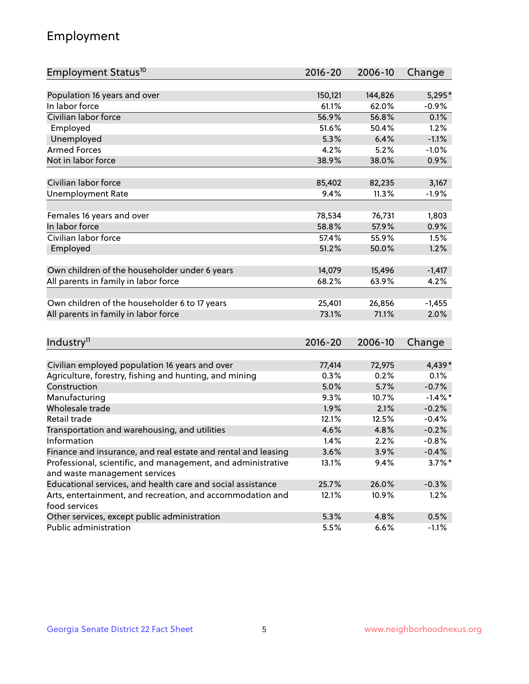# Employment

| Employment Status <sup>10</sup>                                             | $2016 - 20$ | 2006-10 | Change     |
|-----------------------------------------------------------------------------|-------------|---------|------------|
|                                                                             |             |         |            |
| Population 16 years and over                                                | 150,121     | 144,826 | 5,295*     |
| In labor force                                                              | 61.1%       | 62.0%   | $-0.9\%$   |
| Civilian labor force                                                        | 56.9%       | 56.8%   | 0.1%       |
| Employed                                                                    | 51.6%       | 50.4%   | 1.2%       |
| Unemployed                                                                  | 5.3%        | 6.4%    | $-1.1%$    |
| <b>Armed Forces</b>                                                         | 4.2%        | 5.2%    | $-1.0%$    |
| Not in labor force                                                          | 38.9%       | 38.0%   | 0.9%       |
|                                                                             |             |         |            |
| Civilian labor force                                                        | 85,402      | 82,235  | 3,167      |
| <b>Unemployment Rate</b>                                                    | 9.4%        | 11.3%   | $-1.9%$    |
| Females 16 years and over                                                   | 78,534      | 76,731  | 1,803      |
| In labor force                                                              | 58.8%       | 57.9%   | 0.9%       |
| Civilian labor force                                                        | 57.4%       | 55.9%   | 1.5%       |
| Employed                                                                    | 51.2%       | 50.0%   | 1.2%       |
|                                                                             |             |         |            |
| Own children of the householder under 6 years                               | 14,079      | 15,496  | $-1,417$   |
| All parents in family in labor force                                        | 68.2%       | 63.9%   | 4.2%       |
|                                                                             |             |         |            |
| Own children of the householder 6 to 17 years                               | 25,401      | 26,856  | $-1,455$   |
| All parents in family in labor force                                        | 73.1%       | 71.1%   | 2.0%       |
|                                                                             |             |         |            |
| Industry <sup>11</sup>                                                      | $2016 - 20$ | 2006-10 | Change     |
|                                                                             |             |         |            |
| Civilian employed population 16 years and over                              | 77,414      | 72,975  | 4,439*     |
| Agriculture, forestry, fishing and hunting, and mining                      | 0.3%        | 0.2%    | 0.1%       |
| Construction                                                                | 5.0%        | 5.7%    | $-0.7%$    |
| Manufacturing                                                               | 9.3%        | 10.7%   | $-1.4\%$ * |
| Wholesale trade                                                             | 1.9%        | 2.1%    | $-0.2%$    |
| Retail trade                                                                | 12.1%       | 12.5%   | $-0.4%$    |
| Transportation and warehousing, and utilities                               | 4.6%        | 4.8%    | $-0.2%$    |
| Information                                                                 | 1.4%        | 2.2%    | $-0.8%$    |
| Finance and insurance, and real estate and rental and leasing               | 3.6%        | 3.9%    | $-0.4%$    |
| Professional, scientific, and management, and administrative                | 13.1%       | 9.4%    | $3.7\%$ *  |
| and waste management services                                               |             |         |            |
| Educational services, and health care and social assistance                 | 25.7%       | 26.0%   | $-0.3%$    |
| Arts, entertainment, and recreation, and accommodation and<br>food services | 12.1%       | 10.9%   | 1.2%       |
| Other services, except public administration                                | 5.3%        | 4.8%    | 0.5%       |
| Public administration                                                       | 5.5%        | 6.6%    | $-1.1%$    |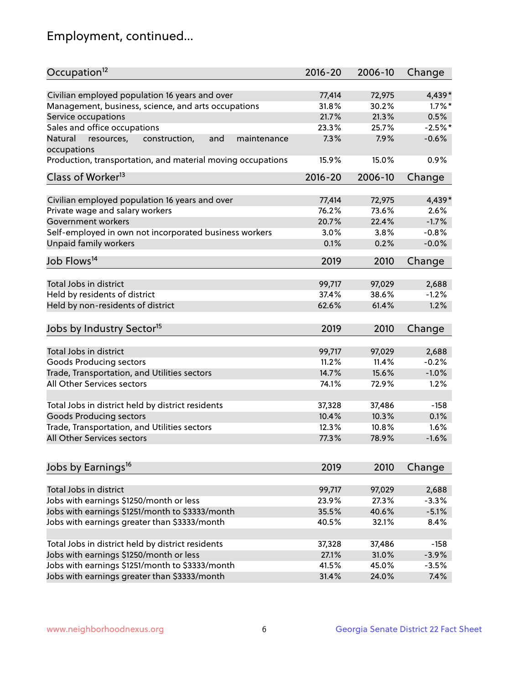# Employment, continued...

| Occupation <sup>12</sup>                                                    | $2016 - 20$ | 2006-10 | Change    |
|-----------------------------------------------------------------------------|-------------|---------|-----------|
| Civilian employed population 16 years and over                              | 77,414      | 72,975  | 4,439*    |
| Management, business, science, and arts occupations                         | 31.8%       | 30.2%   | $1.7\%$ * |
| Service occupations                                                         | 21.7%       | 21.3%   | 0.5%      |
| Sales and office occupations                                                | 23.3%       | 25.7%   | $-2.5%$ * |
|                                                                             |             |         | $-0.6%$   |
| Natural<br>and<br>resources,<br>construction,<br>maintenance<br>occupations | 7.3%        | 7.9%    |           |
| Production, transportation, and material moving occupations                 | 15.9%       | 15.0%   | 0.9%      |
| Class of Worker <sup>13</sup>                                               | $2016 - 20$ | 2006-10 | Change    |
| Civilian employed population 16 years and over                              | 77,414      | 72,975  | 4,439*    |
| Private wage and salary workers                                             | 76.2%       | 73.6%   | 2.6%      |
|                                                                             |             |         | $-1.7%$   |
| Government workers                                                          | 20.7%       | 22.4%   |           |
| Self-employed in own not incorporated business workers                      | 3.0%        | 3.8%    | $-0.8%$   |
| Unpaid family workers                                                       | 0.1%        | 0.2%    | $-0.0%$   |
| Job Flows <sup>14</sup>                                                     | 2019        | 2010    | Change    |
|                                                                             |             |         |           |
| Total Jobs in district                                                      | 99,717      | 97,029  | 2,688     |
| Held by residents of district                                               | 37.4%       | 38.6%   | $-1.2%$   |
| Held by non-residents of district                                           | 62.6%       | 61.4%   | 1.2%      |
| Jobs by Industry Sector <sup>15</sup>                                       | 2019        | 2010    | Change    |
|                                                                             |             |         |           |
| Total Jobs in district                                                      | 99,717      | 97,029  | 2,688     |
| Goods Producing sectors                                                     | 11.2%       | 11.4%   | $-0.2%$   |
| Trade, Transportation, and Utilities sectors                                | 14.7%       | 15.6%   | $-1.0%$   |
| All Other Services sectors                                                  | 74.1%       | 72.9%   | 1.2%      |
| Total Jobs in district held by district residents                           | 37,328      | 37,486  | $-158$    |
| <b>Goods Producing sectors</b>                                              | 10.4%       | 10.3%   | 0.1%      |
| Trade, Transportation, and Utilities sectors                                | 12.3%       | 10.8%   | 1.6%      |
| All Other Services sectors                                                  | 77.3%       | 78.9%   | $-1.6%$   |
|                                                                             |             |         |           |
| Jobs by Earnings <sup>16</sup>                                              | 2019        | 2010    | Change    |
|                                                                             |             |         |           |
| Total Jobs in district                                                      | 99,717      | 97,029  | 2,688     |
| Jobs with earnings \$1250/month or less                                     | 23.9%       | 27.3%   | $-3.3%$   |
| Jobs with earnings \$1251/month to \$3333/month                             | 35.5%       | 40.6%   | $-5.1%$   |
| Jobs with earnings greater than \$3333/month                                | 40.5%       | 32.1%   | 8.4%      |
| Total Jobs in district held by district residents                           | 37,328      | 37,486  | $-158$    |
| Jobs with earnings \$1250/month or less                                     | 27.1%       | 31.0%   | $-3.9%$   |
| Jobs with earnings \$1251/month to \$3333/month                             | 41.5%       | 45.0%   | $-3.5%$   |
| Jobs with earnings greater than \$3333/month                                | 31.4%       | 24.0%   | 7.4%      |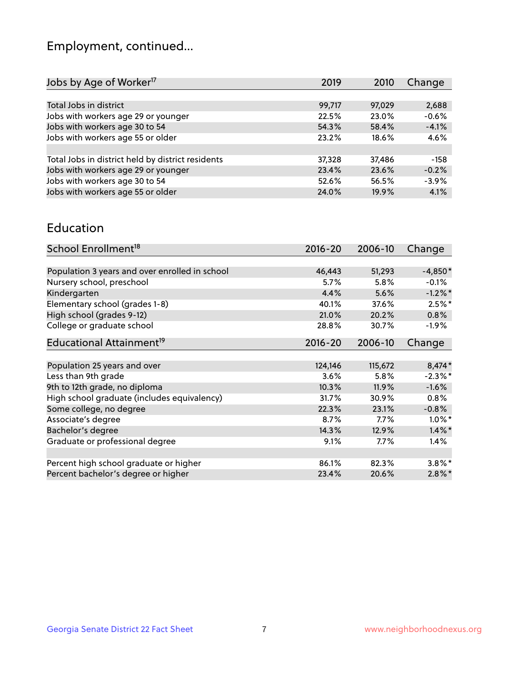# Employment, continued...

| Jobs by Age of Worker <sup>17</sup>               | 2019   | 2010     | Change  |
|---------------------------------------------------|--------|----------|---------|
|                                                   |        |          |         |
| Total Jobs in district                            | 99,717 | 97,029   | 2,688   |
| Jobs with workers age 29 or younger               | 22.5%  | 23.0%    | $-0.6%$ |
| Jobs with workers age 30 to 54                    | 54.3%  | 58.4%    | $-4.1%$ |
| Jobs with workers age 55 or older                 | 23.2%  | $18.6\%$ | 4.6%    |
|                                                   |        |          |         |
| Total Jobs in district held by district residents | 37,328 | 37,486   | $-158$  |
| Jobs with workers age 29 or younger               | 23.4%  | 23.6%    | $-0.2%$ |
| Jobs with workers age 30 to 54                    | 52.6%  | 56.5%    | $-3.9%$ |
| Jobs with workers age 55 or older                 | 24.0%  | 19.9%    | 4.1%    |
|                                                   |        |          |         |

#### Education

| School Enrollment <sup>18</sup>                | $2016 - 20$ | 2006-10 | Change     |
|------------------------------------------------|-------------|---------|------------|
|                                                |             |         |            |
| Population 3 years and over enrolled in school | 46,443      | 51,293  | $-4,850*$  |
| Nursery school, preschool                      | 5.7%        | 5.8%    | $-0.1%$    |
| Kindergarten                                   | 4.4%        | 5.6%    | $-1.2\%$ * |
| Elementary school (grades 1-8)                 | 40.1%       | 37.6%   | $2.5%$ *   |
| High school (grades 9-12)                      | 21.0%       | 20.2%   | 0.8%       |
| College or graduate school                     | 28.8%       | 30.7%   | $-1.9\%$   |
| Educational Attainment <sup>19</sup>           | $2016 - 20$ | 2006-10 | Change     |
|                                                |             |         |            |
| Population 25 years and over                   | 124,146     | 115,672 | 8,474*     |
| Less than 9th grade                            | 3.6%        | 5.8%    | $-2.3\%$ * |
| 9th to 12th grade, no diploma                  | 10.3%       | 11.9%   | $-1.6%$    |
| High school graduate (includes equivalency)    | 31.7%       | 30.9%   | $0.8\%$    |
| Some college, no degree                        | 22.3%       | 23.1%   | $-0.8%$    |
| Associate's degree                             | 8.7%        | 7.7%    | $1.0\%$ *  |
| Bachelor's degree                              | 14.3%       | 12.9%   | $1.4\%$ *  |
| Graduate or professional degree                | $9.1\%$     | 7.7%    | $1.4\%$    |
|                                                |             |         |            |
| Percent high school graduate or higher         | 86.1%       | 82.3%   | $3.8\%$ *  |
| Percent bachelor's degree or higher            | 23.4%       | 20.6%   | $2.8\%$ *  |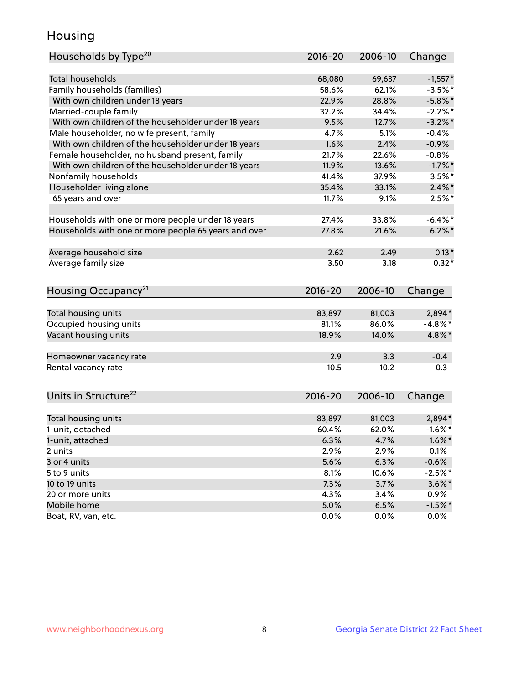#### Housing

| Households by Type <sup>20</sup>                     | 2016-20     | 2006-10         | Change               |
|------------------------------------------------------|-------------|-----------------|----------------------|
|                                                      |             |                 |                      |
| <b>Total households</b>                              | 68,080      | 69,637          | $-1,557*$            |
| Family households (families)                         | 58.6%       | 62.1%           | $-3.5%$ *            |
| With own children under 18 years                     | 22.9%       | 28.8%           | $-5.8\%$ *           |
| Married-couple family                                | 32.2%       | 34.4%           | $-2.2%$              |
| With own children of the householder under 18 years  | 9.5%        | 12.7%           | $-3.2\%$ *           |
| Male householder, no wife present, family            | 4.7%        | 5.1%            | $-0.4%$              |
| With own children of the householder under 18 years  | 1.6%        | 2.4%            | $-0.9%$              |
| Female householder, no husband present, family       | 21.7%       | 22.6%           | $-0.8%$              |
| With own children of the householder under 18 years  | 11.9%       | 13.6%           | $-1.7%$ *            |
| Nonfamily households                                 | 41.4%       | 37.9%           | $3.5%$ *             |
| Householder living alone                             | 35.4%       | 33.1%           | $2.4\%$ *            |
| 65 years and over                                    | 11.7%       | 9.1%            | $2.5%$ *             |
|                                                      |             |                 |                      |
| Households with one or more people under 18 years    | 27.4%       | 33.8%           | $-6.4\%$ *           |
| Households with one or more people 65 years and over | 27.8%       | 21.6%           | $6.2\%$ *            |
|                                                      |             |                 |                      |
| Average household size                               | 2.62        | 2.49            | $0.13*$              |
| Average family size                                  | 3.50        | 3.18            | $0.32*$              |
|                                                      |             |                 |                      |
| Housing Occupancy <sup>21</sup>                      | 2016-20     | 2006-10         | Change               |
| Total housing units                                  | 83,897      | 81,003          | 2,894*               |
| Occupied housing units                               | 81.1%       | 86.0%           | $-4.8\%$ *           |
| Vacant housing units                                 | 18.9%       | 14.0%           | 4.8%*                |
|                                                      |             |                 |                      |
| Homeowner vacancy rate                               | 2.9         | 3.3             | $-0.4$               |
| Rental vacancy rate                                  | 10.5        | 10.2            | 0.3                  |
|                                                      |             |                 |                      |
| Units in Structure <sup>22</sup>                     | $2016 - 20$ | 2006-10         | Change               |
|                                                      |             |                 |                      |
| Total housing units                                  | 83,897      | 81,003<br>62.0% | 2,894*<br>$-1.6\%$ * |
| 1-unit, detached                                     | 60.4%       |                 |                      |
| 1-unit, attached                                     | 6.3%        | 4.7%            | $1.6\%$ *            |
| 2 units                                              | 2.9%        | 2.9%            | 0.1%                 |
| 3 or 4 units                                         | 5.6%        | 6.3%            | $-0.6%$              |
| 5 to 9 units                                         | 8.1%        | 10.6%           | $-2.5%$ *            |
| 10 to 19 units                                       | 7.3%        | 3.7%            | $3.6\%$ *            |
| 20 or more units                                     | 4.3%        | 3.4%            | $0.9\%$              |
| Mobile home                                          | 5.0%        | 6.5%            | $-1.5%$ *            |
| Boat, RV, van, etc.                                  | 0.0%        | 0.0%            | $0.0\%$              |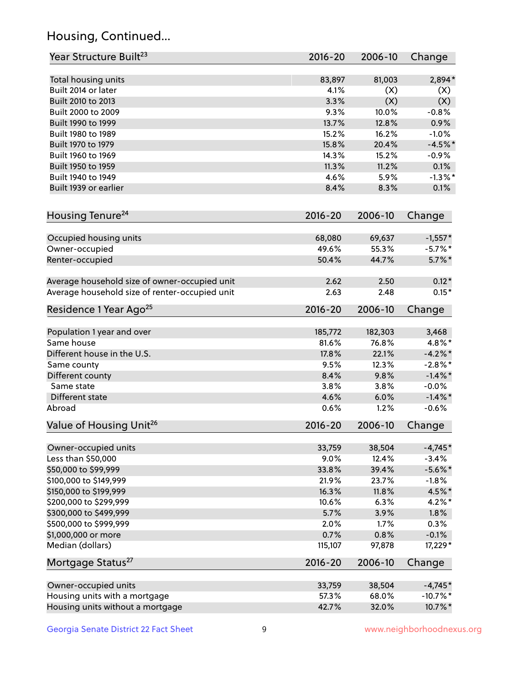# Housing, Continued...

| Year Structure Built <sup>23</sup>             | 2016-20     | 2006-10 | Change                |
|------------------------------------------------|-------------|---------|-----------------------|
| Total housing units                            | 83,897      | 81,003  | 2,894*                |
| Built 2014 or later                            | 4.1%        | (X)     | (X)                   |
| Built 2010 to 2013                             | 3.3%        | (X)     | (X)                   |
| Built 2000 to 2009                             | 9.3%        | 10.0%   | $-0.8%$               |
| Built 1990 to 1999                             | 13.7%       | 12.8%   | 0.9%                  |
| Built 1980 to 1989                             | 15.2%       | 16.2%   | $-1.0%$               |
| Built 1970 to 1979                             | 15.8%       | 20.4%   | $-4.5%$ *             |
| Built 1960 to 1969                             | 14.3%       | 15.2%   | $-0.9%$               |
| Built 1950 to 1959                             | 11.3%       | 11.2%   | 0.1%                  |
| Built 1940 to 1949                             | 4.6%        | 5.9%    | $-1.3\%$ *            |
| Built 1939 or earlier                          | 8.4%        | 8.3%    | 0.1%                  |
|                                                |             |         |                       |
| Housing Tenure <sup>24</sup>                   | $2016 - 20$ | 2006-10 | Change                |
| Occupied housing units                         | 68,080      | 69,637  | $-1,557*$             |
| Owner-occupied                                 | 49.6%       | 55.3%   | $-5.7\%$ *            |
| Renter-occupied                                | 50.4%       | 44.7%   | $5.7\%$ *             |
| Average household size of owner-occupied unit  | 2.62        | 2.50    | $0.12*$               |
| Average household size of renter-occupied unit | 2.63        | 2.48    | $0.15*$               |
| Residence 1 Year Ago <sup>25</sup>             | $2016 - 20$ | 2006-10 | Change                |
| Population 1 year and over                     | 185,772     | 182,303 | 3,468                 |
| Same house                                     | 81.6%       | 76.8%   | 4.8%*                 |
| Different house in the U.S.                    | 17.8%       | 22.1%   | $-4.2\%$ *            |
| Same county                                    | 9.5%        | 12.3%   | $-2.8\%$ *            |
| Different county                               | 8.4%        | 9.8%    | $-1.4\%$ *            |
| Same state                                     | 3.8%        | 3.8%    | $-0.0%$               |
| Different state                                | 4.6%        | 6.0%    |                       |
| Abroad                                         | 0.6%        | 1.2%    | $-1.4\%$ *<br>$-0.6%$ |
|                                                |             |         |                       |
| Value of Housing Unit <sup>26</sup>            | $2016 - 20$ | 2006-10 | Change                |
| Owner-occupied units                           | 33,759      | 38,504  | $-4,745*$             |
| Less than \$50,000                             | 9.0%        | 12.4%   | $-3.4%$               |
| \$50,000 to \$99,999                           | 33.8%       | 39.4%   | $-5.6\%$ *            |
| \$100,000 to \$149,999                         | 21.9%       | 23.7%   | $-1.8%$               |
| \$150,000 to \$199,999                         | 16.3%       | 11.8%   | 4.5%*                 |
| \$200,000 to \$299,999                         | 10.6%       | 6.3%    | $4.2\%$ *             |
| \$300,000 to \$499,999                         | 5.7%        | 3.9%    | 1.8%                  |
| \$500,000 to \$999,999                         | 2.0%        | 1.7%    | 0.3%                  |
| \$1,000,000 or more                            | 0.7%        | 0.8%    | $-0.1%$               |
| Median (dollars)                               | 115,107     | 97,878  | 17,229*               |
| Mortgage Status <sup>27</sup>                  | $2016 - 20$ | 2006-10 | Change                |
| Owner-occupied units                           | 33,759      | 38,504  | $-4,745*$             |
| Housing units with a mortgage                  | 57.3%       | 68.0%   | $-10.7%$ *            |
| Housing units without a mortgage               | 42.7%       | 32.0%   | 10.7%*                |
|                                                |             |         |                       |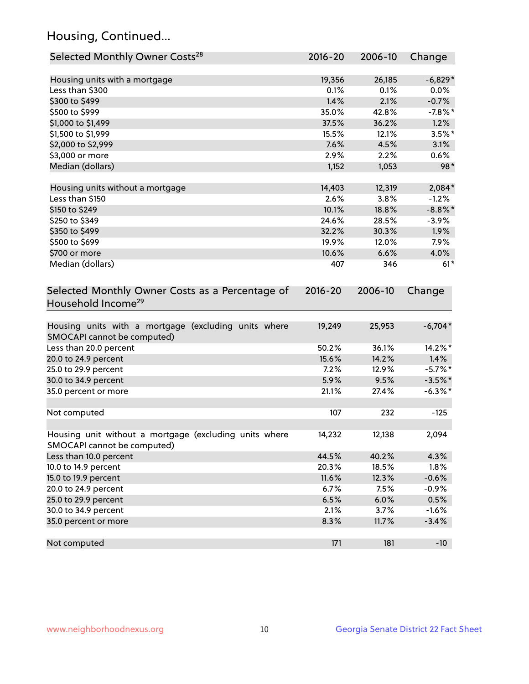# Housing, Continued...

| Selected Monthly Owner Costs <sup>28</sup>                                            | $2016 - 20$ | 2006-10 | Change     |
|---------------------------------------------------------------------------------------|-------------|---------|------------|
| Housing units with a mortgage                                                         | 19,356      | 26,185  | $-6,829*$  |
| Less than \$300                                                                       | 0.1%        | 0.1%    | $0.0\%$    |
| \$300 to \$499                                                                        | 1.4%        | 2.1%    | $-0.7%$    |
| \$500 to \$999                                                                        | 35.0%       | 42.8%   | $-7.8\%$ * |
| \$1,000 to \$1,499                                                                    | 37.5%       | 36.2%   | 1.2%       |
| \$1,500 to \$1,999                                                                    | 15.5%       | 12.1%   | $3.5%$ *   |
| \$2,000 to \$2,999                                                                    | 7.6%        | 4.5%    | 3.1%       |
| \$3,000 or more                                                                       | 2.9%        | 2.2%    | $0.6\%$    |
| Median (dollars)                                                                      | 1,152       | 1,053   | 98*        |
| Housing units without a mortgage                                                      | 14,403      | 12,319  | 2,084*     |
| Less than \$150                                                                       | 2.6%        | 3.8%    | $-1.2%$    |
| \$150 to \$249                                                                        | 10.1%       | 18.8%   | $-8.8\%$ * |
| \$250 to \$349                                                                        | 24.6%       | 28.5%   | $-3.9%$    |
| \$350 to \$499                                                                        | 32.2%       | 30.3%   | 1.9%       |
| \$500 to \$699                                                                        | 19.9%       | 12.0%   | 7.9%       |
| \$700 or more                                                                         | 10.6%       | 6.6%    | 4.0%       |
| Median (dollars)                                                                      | 407         | 346     | $61*$      |
| Selected Monthly Owner Costs as a Percentage of<br>Household Income <sup>29</sup>     | $2016 - 20$ | 2006-10 | Change     |
| Housing units with a mortgage (excluding units where<br>SMOCAPI cannot be computed)   | 19,249      | 25,953  | $-6,704*$  |
| Less than 20.0 percent                                                                | 50.2%       | 36.1%   | 14.2%*     |
| 20.0 to 24.9 percent                                                                  | 15.6%       | 14.2%   | 1.4%       |
| 25.0 to 29.9 percent                                                                  | 7.2%        | 12.9%   | $-5.7\%$ * |
| 30.0 to 34.9 percent                                                                  | 5.9%        | 9.5%    | $-3.5%$ *  |
| 35.0 percent or more                                                                  | 21.1%       | 27.4%   | $-6.3\%$ * |
| Not computed                                                                          | 107         | 232     | $-125$     |
| Housing unit without a mortgage (excluding units where<br>SMOCAPI cannot be computed) | 14,232      | 12,138  | 2,094      |
| Less than 10.0 percent                                                                | 44.5%       | 40.2%   | 4.3%       |
| 10.0 to 14.9 percent                                                                  | 20.3%       | 18.5%   | 1.8%       |
| 15.0 to 19.9 percent                                                                  | 11.6%       | 12.3%   | $-0.6%$    |
| 20.0 to 24.9 percent                                                                  | 6.7%        | 7.5%    | $-0.9%$    |
| 25.0 to 29.9 percent                                                                  | 6.5%        | 6.0%    | 0.5%       |
| 30.0 to 34.9 percent                                                                  | 2.1%        | 3.7%    | $-1.6%$    |
| 35.0 percent or more                                                                  | 8.3%        | 11.7%   | $-3.4%$    |
| Not computed                                                                          | 171         | 181     | $-10$      |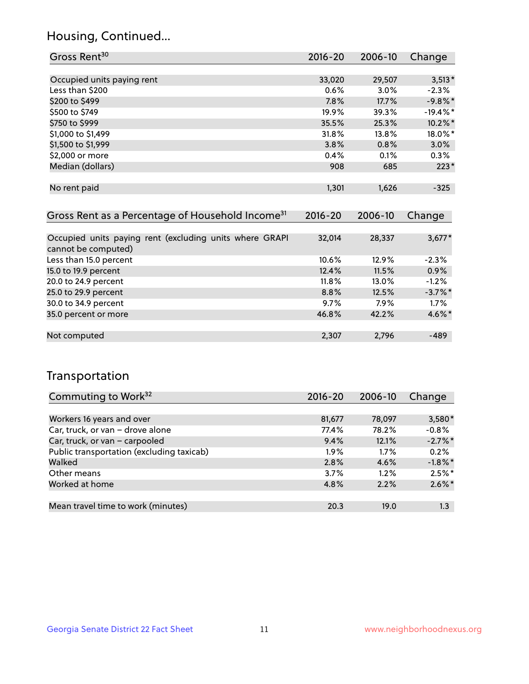#### Housing, Continued...

| Gross Rent <sup>30</sup>                                                       | $2016 - 20$ | 2006-10 | Change      |
|--------------------------------------------------------------------------------|-------------|---------|-------------|
|                                                                                |             |         |             |
| Occupied units paying rent                                                     | 33,020      | 29,507  | $3,513*$    |
| Less than \$200                                                                | 0.6%        | 3.0%    | $-2.3%$     |
| \$200 to \$499                                                                 | 7.8%        | 17.7%   | $-9.8\%$ *  |
| \$500 to \$749                                                                 | 19.9%       | 39.3%   | $-19.4\%$ * |
| \$750 to \$999                                                                 | 35.5%       | 25.3%   | 10.2%*      |
| \$1,000 to \$1,499                                                             | 31.8%       | 13.8%   | 18.0%*      |
| \$1,500 to \$1,999                                                             | 3.8%        | 0.8%    | 3.0%        |
| \$2,000 or more                                                                | 0.4%        | 0.1%    | 0.3%        |
| Median (dollars)                                                               | 908         | 685     | $223*$      |
| No rent paid                                                                   | 1,301       | 1,626   | $-325$      |
| Gross Rent as a Percentage of Household Income <sup>31</sup>                   | $2016 - 20$ | 2006-10 | Change      |
| Occupied units paying rent (excluding units where GRAPI<br>cannot be computed) | 32,014      | 28,337  | $3,677*$    |
| Less than 15.0 percent                                                         | 10.6%       | 12.9%   | $-2.3%$     |
| 15.0 to 19.9 percent                                                           | 12.4%       | 11.5%   | 0.9%        |
| 20.0 to 24.9 percent                                                           | 11.8%       | 13.0%   | $-1.2%$     |
| 25.0 to 29.9 percent                                                           | 8.8%        | 12.5%   | $-3.7\%$ *  |
| 30.0 to 34.9 percent                                                           | 9.7%        | 7.9%    | 1.7%        |
| 35.0 percent or more                                                           | 46.8%       | 42.2%   | $4.6\%$ *   |

#### Not computed and the computed computed computed computed and  $2,307$  2,796  $-489$

#### Transportation

| Commuting to Work <sup>32</sup>           | 2016-20 | 2006-10 | Change     |
|-------------------------------------------|---------|---------|------------|
|                                           |         |         |            |
| Workers 16 years and over                 | 81,677  | 78,097  | $3,580*$   |
| Car, truck, or van - drove alone          | 77.4%   | 78.2%   | $-0.8%$    |
| Car, truck, or van - carpooled            | 9.4%    | 12.1%   | $-2.7\%$ * |
| Public transportation (excluding taxicab) | $1.9\%$ | $1.7\%$ | 0.2%       |
| Walked                                    | 2.8%    | 4.6%    | $-1.8\%$ * |
| Other means                               | 3.7%    | $1.2\%$ | $2.5%$ *   |
| Worked at home                            | 4.8%    | 2.2%    | $2.6\%$ *  |
|                                           |         |         |            |
| Mean travel time to work (minutes)        | 20.3    | 19.0    | 1.3        |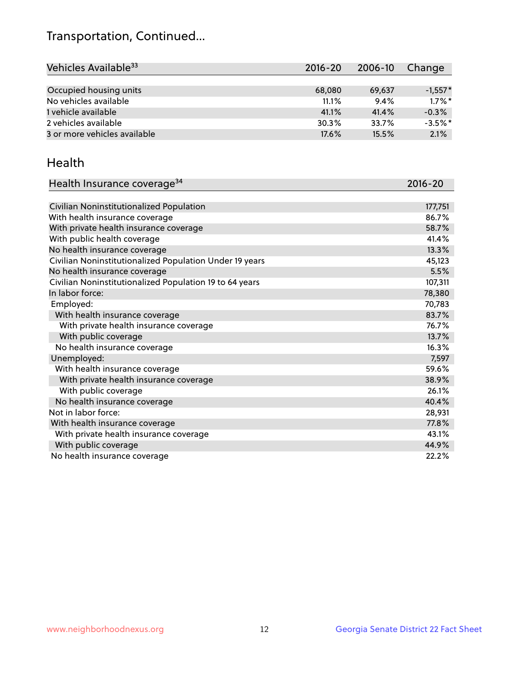# Transportation, Continued...

| Vehicles Available <sup>33</sup> | $2016 - 20$ | 2006-10 | Change    |
|----------------------------------|-------------|---------|-----------|
|                                  |             |         |           |
| Occupied housing units           | 68,080      | 69,637  | $-1,557*$ |
| No vehicles available            | 11.1%       | 9.4%    | $1.7\%$ * |
| 1 vehicle available              | 41.1%       | 41.4%   | $-0.3%$   |
| 2 vehicles available             | 30.3%       | 33.7%   | $-3.5%$ * |
| 3 or more vehicles available     | 17.6%       | 15.5%   | 2.1%      |

#### Health

| Health Insurance coverage <sup>34</sup>                 | 2016-20 |
|---------------------------------------------------------|---------|
|                                                         |         |
| Civilian Noninstitutionalized Population                | 177,751 |
| With health insurance coverage                          | 86.7%   |
| With private health insurance coverage                  | 58.7%   |
| With public health coverage                             | 41.4%   |
| No health insurance coverage                            | 13.3%   |
| Civilian Noninstitutionalized Population Under 19 years | 45,123  |
| No health insurance coverage                            | 5.5%    |
| Civilian Noninstitutionalized Population 19 to 64 years | 107,311 |
| In labor force:                                         | 78,380  |
| Employed:                                               | 70,783  |
| With health insurance coverage                          | 83.7%   |
| With private health insurance coverage                  | 76.7%   |
| With public coverage                                    | 13.7%   |
| No health insurance coverage                            | 16.3%   |
| Unemployed:                                             | 7,597   |
| With health insurance coverage                          | 59.6%   |
| With private health insurance coverage                  | 38.9%   |
| With public coverage                                    | 26.1%   |
| No health insurance coverage                            | 40.4%   |
| Not in labor force:                                     | 28,931  |
| With health insurance coverage                          | 77.8%   |
| With private health insurance coverage                  | 43.1%   |
| With public coverage                                    | 44.9%   |
| No health insurance coverage                            | 22.2%   |